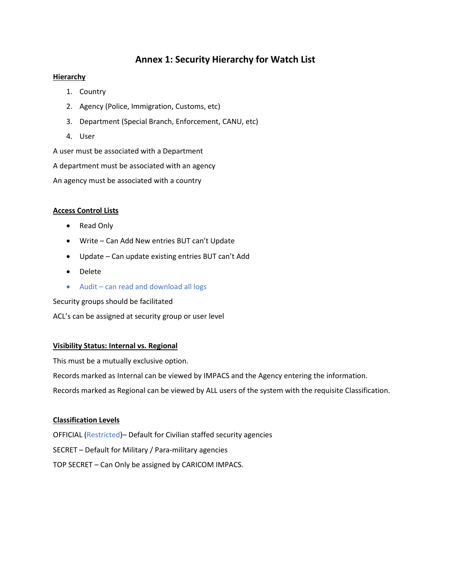# **Annex 1: Security Hierarchy for Watch List**

## **Hierarchy**

- 1. Country
- 2. Agency (Police, Immigration, Customs, etc)
- 3. Department (Special Branch, Enforcement, CANU, etc)
- 4. User

A user must be associated with a Department

A department must be associated with an agency

An agency must be associated with a country

## **Access Control Lists**

- Read Only
- Write Can Add New entries BUT can't Update
- Update Can update existing entries BUT can't Add
- Delete
- Audit can read and download all logs

Security groups should be facilitated

ACL's can be assigned at security group or user level

### **Visibility Status: Internal vs. Regional**

This must be a mutually exclusive option.

Records marked as Internal can be viewed by IMPACS and the Agency entering the information.

Records marked as Regional can be viewed by ALL users of the system with the requisite Classification.

### **Classification Levels**

OFFICIAL (Restricted)– Default for Civilian staffed security agencies SECRET – Default for Military / Para-military agencies TOP SECRET – Can Only be assigned by CARICOM IMPACS.